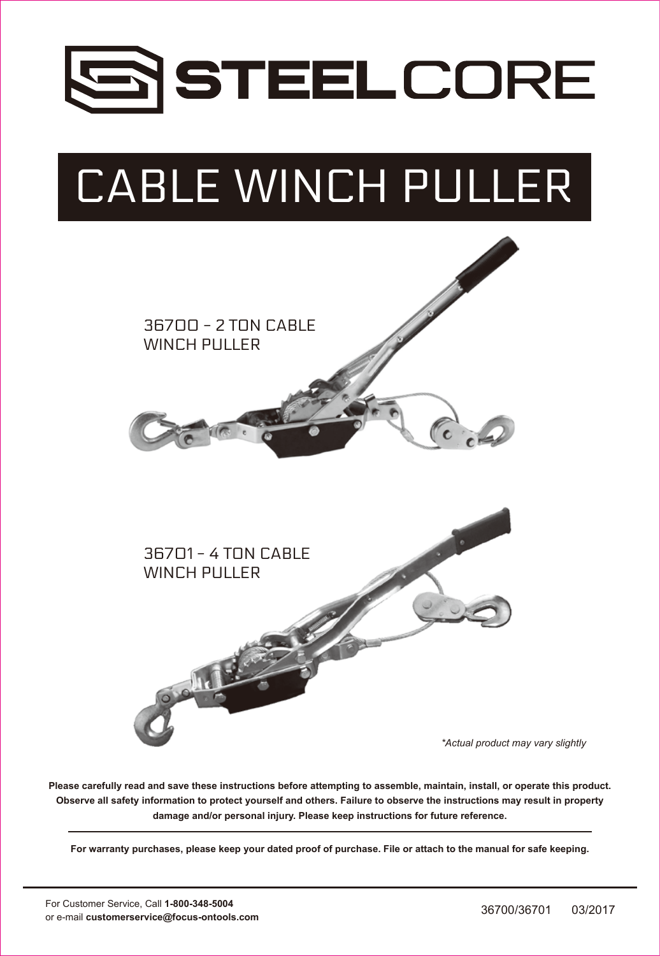

# CABLE WINCH PULLER



**Please carefully read and save these instructions before attempting to assemble, maintain, install, or operate this product. Observe all safety information to protect yourself and others. Failure to observe the instructions may result in property damage and/or personal injury. Please keep instructions for future reference.**

**For warranty purchases, please keep your dated proof of purchase. File or attach to the manual for safe keeping.**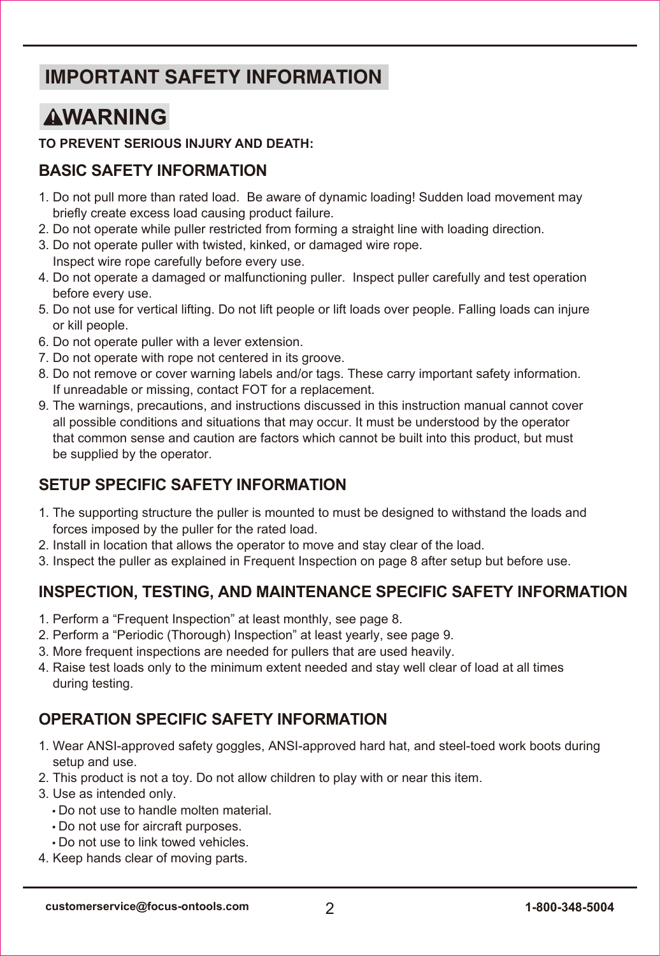# **IMPORTANT SAFETY INFORMATION**

# **AWARNING**

### **TO PREVENT SERIOUS INJURY AND DEATH:**

### **BASIC SAFETY INFORMATION**

- 1. Do not pull more than rated load. Be aware of dynamic loading! Sudden load movement may briefly create excess load causing product failure.
- 2. Do not operate while puller restricted from forming a straight line with loading direction.
- 3. Do not operate puller with twisted, kinked, or damaged wire rope. Inspect wire rope carefully before every use.
- 4. Do not operate a damaged or malfunctioning puller. Inspect puller carefully and test operation before every use.
- 5. Do not use for vertical lifting. Do not lift people or lift loads over people. Falling loads can injure or kill people.
- 6. Do not operate puller with a lever extension.
- 7. Do not operate with rope not centered in its groove.
- 8. Do not remove or cover warning labels and/or tags. These carry important safety information. If unreadable or missing, contact FOT for a replacement.
- 9. The warnings, precautions, and instructions discussed in this instruction manual cannot cover all possible conditions and situations that may occur. It must be understood by the operator that common sense and caution are factors which cannot be built into this product, but must be supplied by the operator.

### **SETUP SPECIFIC SAFETY INFORMATION**

- 1. The supporting structure the puller is mounted to must be designed to withstand the loads and forces imposed by the puller for the rated load.
- 2. Install in location that allows the operator to move and stay clear of the load.
- 3. Inspect the puller as explained in Frequent Inspection on page 8 after setup but before use.

### **INSPECTION, TESTING, AND MAINTENANCE SPECIFIC SAFETY INFORMATION**

- 1. Perform a "Frequent Inspection" at least monthly, see page 8.
- 2. Perform a "Periodic (Thorough) Inspection" at least yearly, see page 9.
- 3. More frequent inspections are needed for pullers that are used heavily.
- 4. Raise test loads only to the minimum extent needed and stay well clear of load at all times during testing.

### **OPERATION SPECIFIC SAFETY INFORMATION**

- 1. Wear ANSI-approved safety goggles, ANSI-approved hard hat, and steel-toed work boots during setup and use.
- 2. This product is not a toy. Do not allow children to play with or near this item.
- 3. Use as intended only.
	- Do not use to handle molten material.
	- Do not use for aircraft purposes.
	- Do not use to link towed vehicles.
- 4. Keep hands clear of moving parts.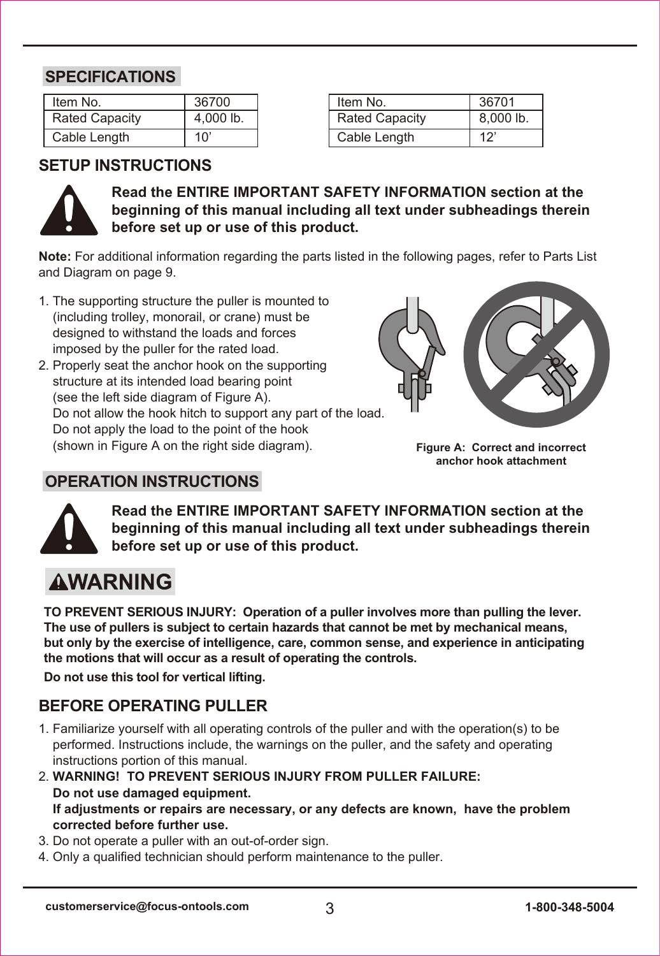### **SPECIFICATIONS**

| Item No.              | 36700     |  |  |
|-----------------------|-----------|--|--|
| <b>Rated Capacity</b> | 4,000 lb. |  |  |
| Cable Length          | 10'       |  |  |

| Item No.              | 36701     |
|-----------------------|-----------|
| <b>Rated Capacity</b> | 8,000 lb. |
| Cable Length          | 12'       |

### **SETUP INSTRUCTIONS**



**Read the ENTIRE IMPORTANT SAFETY INFORMATION section at the beginning of this manual including all text under subheadings therein before set up or use of this product.**

**Note:** For additional information regarding the parts listed in the following pages, refer to Parts List and Diagram on page 9.

- 1. The supporting structure the puller is mounted to (including trolley, monorail, or crane) must be designed to withstand the loads and forces imposed by the puller for the rated load.
- 2. Properly seat the anchor hook on the supporting structure at its intended load bearing point (see the left side diagram of Figure A). Do not allow the hook hitch to support any part of the load. Do not apply the load to the point of the hook (shown in Figure A on the right side diagram).



**Figure A: Correct and incorrect anchor hook attachment**



**Read the ENTIRE IMPORTANT SAFETY INFORMATION section at the beginning of this manual including all text under subheadings therein before set up or use of this product.**

# **AWARNING**

**TO PREVENT SERIOUS INJURY: Operation of a puller involves more than pulling the lever. The use of pullers is subject to certain hazards that cannot be met by mechanical means, but only by the exercise of intelligence, care, common sense, and experience in anticipating the motions that will occur as a result of operating the controls.**

**Do not use this tool for vertical lifting.**

**OPERATION INSTRUCTIONS**

### **BEFORE OPERATING PULLER**

- 1. Familiarize yourself with all operating controls of the puller and with the operation(s) to be performed. Instructions include, the warnings on the puller, and the safety and operating instructions portion of this manual.
- 2. **WARNING! TO PREVENT SERIOUS INJURY FROM PULLER FAILURE: Do not use damaged equipment. If adjustments or repairs are necessary, or any defects are known, have the problem corrected before further use.**
- 3. Do not operate a puller with an out-of-order sign.
- 4. Only a qualified technician should perform maintenance to the puller.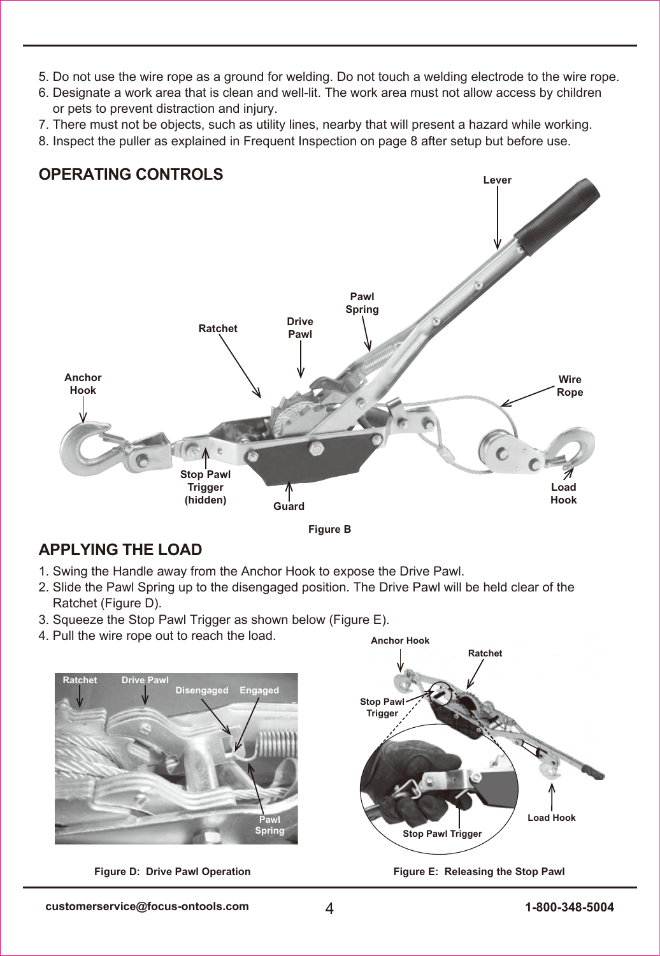- 5. Do not use the wire rope as a ground for welding. Do not touch a welding electrode to the wire rope.
- 6. Designate a work area that is clean and well-lit. The work area must not allow access by children or pets to prevent distraction and injury.
- 7. There must not be objects, such as utility lines, nearby that will present a hazard while working.
- 8. Inspect the puller as explained in Frequent Inspection on page 8 after setup but before use.

### **OPERATING CONTROLS**





**Anchor Hook**

### **APPLYING THE LOAD**

- 1. Swing the Handle away from the Anchor Hook to expose the Drive Pawl.
- 2. Slide the Pawl Spring up to the disengaged position. The Drive Pawl will be held clear of the Ratchet (Figure D).
- 3. Squeeze the Stop Pawl Trigger as shown below (Figure E).
- 4. Pull the wire rope out to reach the load.



**Figure D: Drive Pawl Operation**

**Figure E: Releasing the Stop Pawl**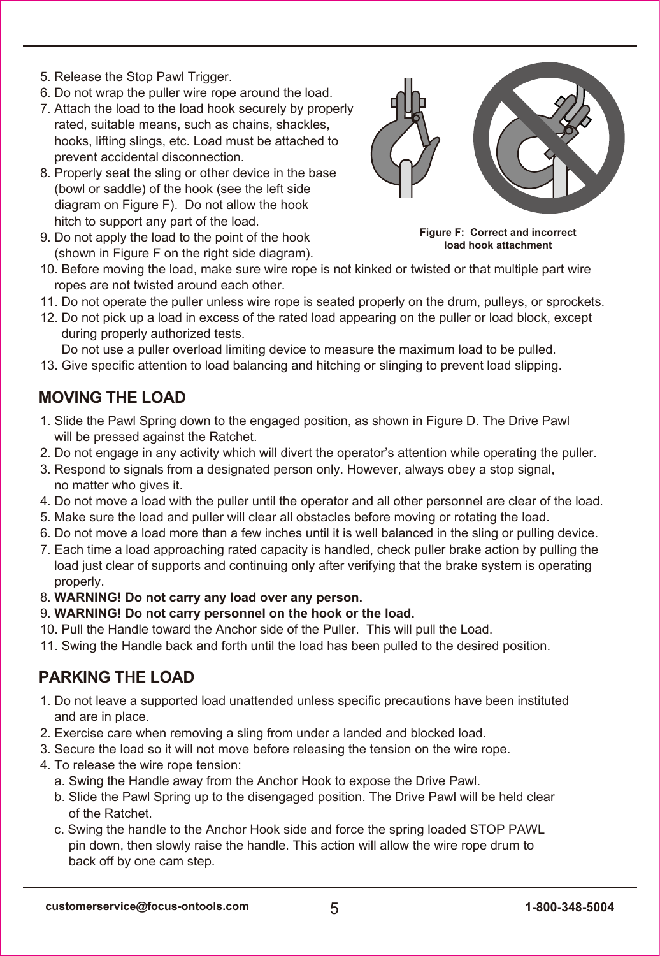- 5. Release the Stop Pawl Trigger.
- 6. Do not wrap the puller wire rope around the load.
- 7. Attach the load to the load hook securely by properly rated, suitable means, such as chains, shackles hooks, lifting slings, etc. Load must be attached to prevent accidental disconnection.
- 8. Properly seat the sling or other device in the base (bowl or saddle) of the hook (see the left side diagram on Figure F). Do not allow the hook hitch to support any part of the load.
- 9. Do not apply the load to the point of the hook (shown in Figure F on the right side diagram).



**Figure F: Correct and incorrect load hook attachment**

- 10. Before moving the load, make sure wire rope is not kinked or twisted or that multiple part wire ropes are not twisted around each other
- 11. Do not operate the puller unless wire rope is seated properly on the drum, pulleys, or sprockets.
- 12. Do not pick up a load in excess of the rated load appearing on the puller or load block, except during properly authorized tests.

Do not use a puller overload limiting device to measure the maximum load to be pulled.

13. Give specific attention to load balancing and hitching or slinging to prevent load slipping.

### **MOVING THE LOAD**

- 1. Slide the Pawl Spring down to the engaged position, as shown in Figure D. The Drive Pawl will be pressed against the Ratchet.
- 2. Do not engage in any activity which will divert the operator's attention while operating the puller.
- 3. Respond to signals from a designated person only. However, always obey a stop signal, no matter who gives it.
- 4. Do not move a load with the puller until the operator and all other personnel are clear of the load.
- 5. Make sure the load and puller will clear all obstacles before moving or rotating the load.
- 6. Do not move a load more than a few inches until it is well balanced in the sling or pulling device.
- 7. Each time a load approaching rated capacity is handled, check puller brake action by pulling the load just clear of supports and continuing only after verifying that the brake system is operating properly.
- 8. **WARNING! Do not carry any load over any person.**
- 9. **WARNING! Do not carry personnel on the hook or the load.**
- 10. Pull the Handle toward the Anchor side of the Puller. This will pull the Load.
- 11. Swing the Handle back and forth until the load has been pulled to the desired position.

### **PARKING THE LOAD**

- 1. Do not leave a supported load unattended unless specific precautions have been instituted and are in place.
- 2. Exercise care when removing a sling from under a landed and blocked load.
- 3. Secure the load so it will not move before releasing the tension on the wire rope.
- 4. To release the wire rope tension:
	- a. Swing the Handle away from the Anchor Hook to expose the Drive Pawl.
	- b. Slide the Pawl Spring up to the disengaged position. The Drive Pawl will be held clear of the Ratchet.
	- c. Swing the handle to the Anchor Hook side and force the spring loaded STOP PAWL pin down, then slowly raise the handle. This action will allow the wire rope drum to back off by one cam step.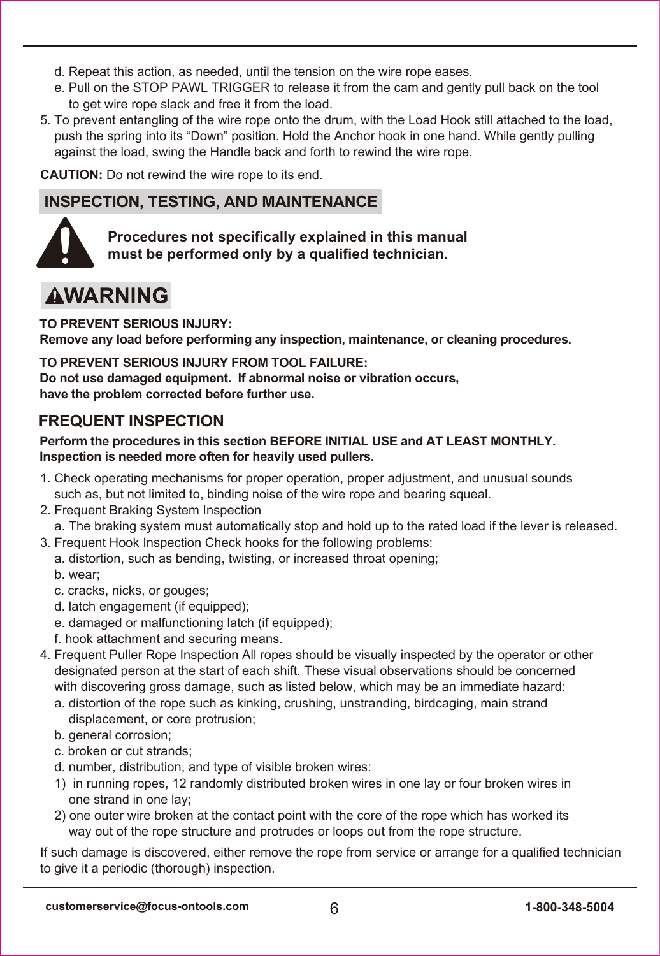- d. Repeat this action, as needed, until the tension on the wire rope eases.
- e. Pull on the STOP PAWL TRIGGER to release it from the cam and gently pull back on the tool to get wire rope slack and free it from the load.
- 5. To prevent entangling of the wire rope onto the drum, with the Load Hook still attached to the load, push the spring into its "Down" position. Hold the Anchor hook in one hand. While gently pulling against the load, swing the Handle back and forth to rewind the wire rope.

**CAUTION:** Do not rewind the wire rope to its end.

### **INSPECTION, TESTING, AND MAINTENANCE**



**Procedures not specifically explained in this manual must be performed only by a qualified technician.**

# **AWARNING**

**TO PREVENT SERIOUS INJURY:** 

**Remove any load before performing any inspection, maintenance, or cleaning procedures.**

#### **TO PREVENT SERIOUS INJURY FROM TOOL FAILURE:**

**Do not use damaged equipment. If abnormal noise or vibration occurs, have the problem corrected before further use.**

### **FREQUENT INSPECTION**

#### **Perform the procedures in this section BEFORE INITIAL USE and AT LEAST MONTHLY. Inspection is needed more often for heavily used pullers.**

- 1. Check operating mechanisms for proper operation, proper adjustment, and unusual sounds such as, but not limited to, binding noise of the wire rope and bearing squeal.
- 2. Frequent Braking System Inspection

a. The braking system must automatically stop and hold up to the rated load if the lever is released.

- 3. Frequent Hook Inspection Check hooks for the following problems:
	- a. distortion, such as bending, twisting, or increased throat opening;
	- b. wear;
	- c. cracks, nicks, or gouges;
	- d. latch engagement (if equipped);
	- e. damaged or malfunctioning latch (if equipped);
	- f. hook attachment and securing means.
- 4. Frequent Puller Rope Inspection All ropes should be visually inspected by the operator or other designated person at the start of each shift. These visual observations should be concerned with discovering gross damage, such as listed below, which may be an immediate hazard:
	- a. distortion of the rope such as kinking, crushing, unstranding, birdcaging, main strand displacement, or core protrusion;
	- b. general corrosion;
	- c. broken or cut strands;
	- d. number, distribution, and type of visible broken wires:
	- 1) in running ropes, 12 randomly distributed broken wires in one lay or four broken wires in one strand in one lay;
	- 2) one outer wire broken at the contact point with the core of the rope which has worked its way out of the rope structure and protrudes or loops out from the rope structure.

If such damage is discovered, either remove the rope from service or arrange for a qualified technician to give it a periodic (thorough) inspection.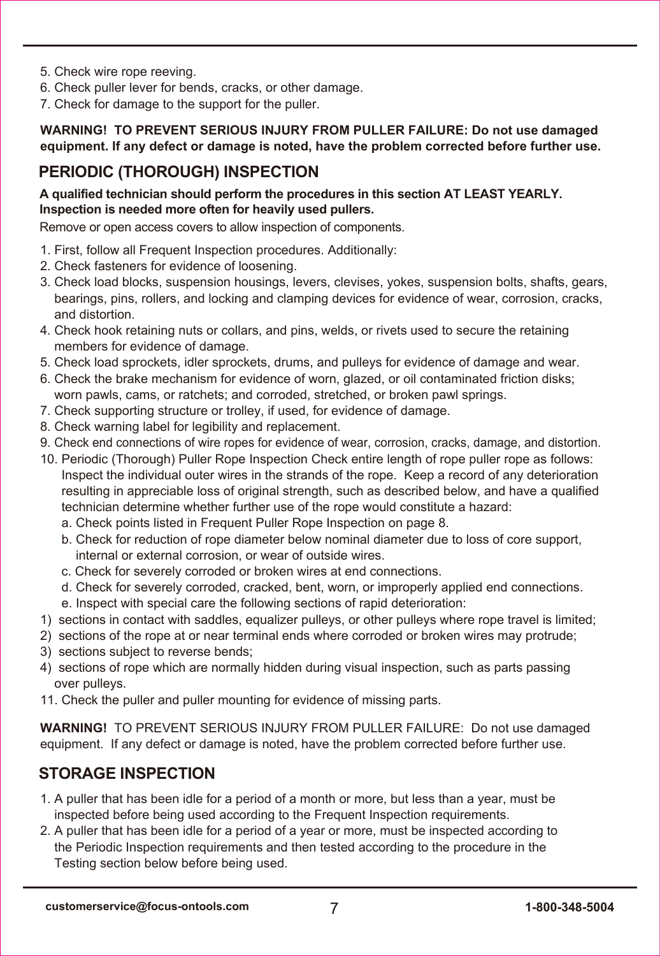- 5. Check wire rope reeving.
- 6. Check puller lever for bends, cracks, or other damage.
- 7. Check for damage to the support for the puller.

#### **WARNING! TO PREVENT SERIOUS INJURY FROM PULLER FAILURE: Do not use damaged equipment. If any defect or damage is noted, have the problem corrected before further use.**

### **PERIODIC (THOROUGH) INSPECTION**

#### **A qualified technician should perform the procedures in this section AT LEAST YEARLY. Inspection is needed more often for heavily used pullers.**

Remove or open access covers to allow inspection of components.

- 1. First, follow all Frequent Inspection procedures. Additionally:
- 2. Check fasteners for evidence of loosening.
- 3. Check load blocks, suspension housings, levers, clevises, yokes, suspension bolts, shafts, gears, bearings, pins, rollers, and locking and clamping devices for evidence of wear, corrosion, cracks, and distortion.
- 4. Check hook retaining nuts or collars, and pins, welds, or rivets used to secure the retaining members for evidence of damage.
- 5. Check load sprockets, idler sprockets, drums, and pulleys for evidence of damage and wear.
- 6. Check the brake mechanism for evidence of worn, glazed, or oil contaminated friction disks; worn pawls, cams, or ratchets; and corroded, stretched, or broken pawl springs.
- 7. Check supporting structure or trolley, if used, for evidence of damage.
- 8. Check warning label for legibility and replacement.
- 9. Check end connections of wire ropes for evidence of wear, corrosion, cracks, damage, and distortion.
- 10. Periodic (Thorough) Puller Rope Inspection Check entire length of rope puller rope as follows: Inspect the individual outer wires in the strands of the rope. Keep a record of any deterioration resulting in appreciable loss of original strength, such as described below, and have a qualified technician determine whether further use of the rope would constitute a hazard:
	- a. Check points listed in Frequent Puller Rope Inspection on page 8.
	- b. Check for reduction of rope diameter below nominal diameter due to loss of core support, internal or external corrosion, or wear of outside wires.
	- c. Check for severely corroded or broken wires at end connections.
	- d. Check for severely corroded, cracked, bent, worn, or improperly applied end connections.
	- e. Inspect with special care the following sections of rapid deterioration:
- 1) sections in contact with saddles, equalizer pulleys, or other pulleys where rope travel is limited;
- 2) sections of the rope at or near terminal ends where corroded or broken wires may protrude;
- 3) sections subject to reverse bends;
- 4) sections of rope which are normally hidden during visual inspection, such as parts passing over pulleys.
- 11. Check the puller and puller mounting for evidence of missing parts.

**WARNING!** TO PREVENT SERIOUS INJURY FROM PULLER FAILURE: Do not use damaged equipment. If any defect or damage is noted, have the problem corrected before further use.

### **STORAGE INSPECTION**

- 1. A puller that has been idle for a period of a month or more, but less than a year, must be inspected before being used according to the Frequent Inspection requirements.
- 2. A puller that has been idle for a period of a year or more, must be inspected according to the Periodic Inspection requirements and then tested according to the procedure in the Testing section below before being used.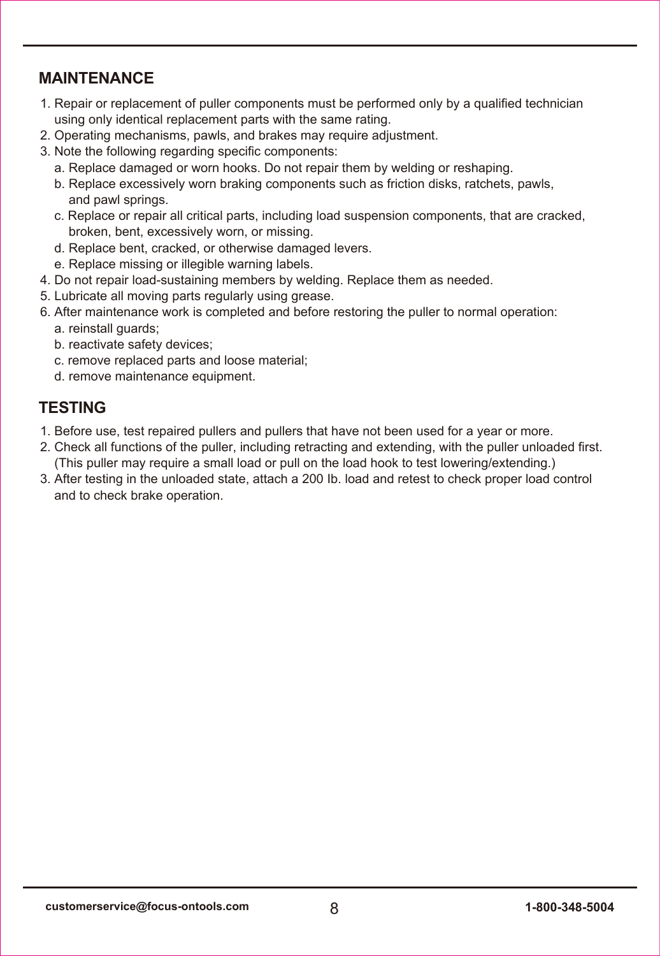### **MAINTENANCE**

- 1. Repair or replacement of puller components must be performed only by a qualified technician using only identical replacement parts with the same rating.
- 2. Operating mechanisms, pawls, and brakes may require adjustment.
- 3. Note the following regarding specific components:
	- a. Replace damaged or worn hooks. Do not repair them by welding or reshaping.
	- b. Replace excessively worn braking components such as friction disks, ratchets, pawls, and pawl springs.
	- c. Replace or repair all critical parts, including load suspension components, that are cracked, broken, bent, excessively worn, or missing.
	- d. Replace bent, cracked, or otherwise damaged levers.
	- e. Replace missing or illegible warning labels.
- 4. Do not repair load-sustaining members by welding. Replace them as needed.
- 5. Lubricate all moving parts regularly using grease.
- 6. After maintenance work is completed and before restoring the puller to normal operation: a. reinstall guards;
	- b. reactivate safety devices;
	- c. remove replaced parts and loose material;
	- d. remove maintenance equipment.

### **TESTING**

- 1. Before use, test repaired pullers and pullers that have not been used for a year or more.
- 2. Check all functions of the puller, including retracting and extending, with the puller unloaded first. (This puller may require a small load or pull on the load hook to test lowering/extending.)
- 3. After testing in the unloaded state, attach a 200 Ib. load and retest to check proper load control and to check brake operation.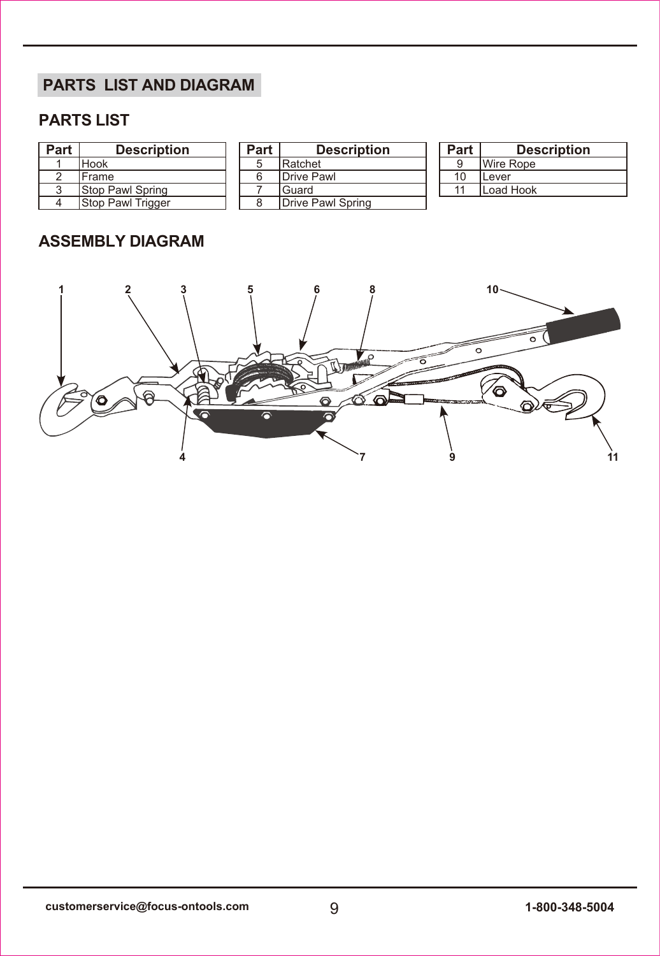## **PARTS LIST AND DIAGRAM**

### **PARTS LIST**

| Part | <b>Description</b>        | Part | <b>Description</b> | Part | <b>Description</b> |
|------|---------------------------|------|--------------------|------|--------------------|
|      | <b>Hook</b>               |      | Ratchet            |      | <b>IWire Rope</b>  |
|      | <b>Frame</b>              |      | Drive Pawl         | 10   | <b>Lever</b>       |
| J    | <b>IStop Pawl Spring</b>  |      | Guard              |      | Load Hook          |
| 4    | <b>IStop Pawl Trigger</b> |      | Drive Pawl Spring  |      |                    |

### **ASSEMBLY DIAGRAM**